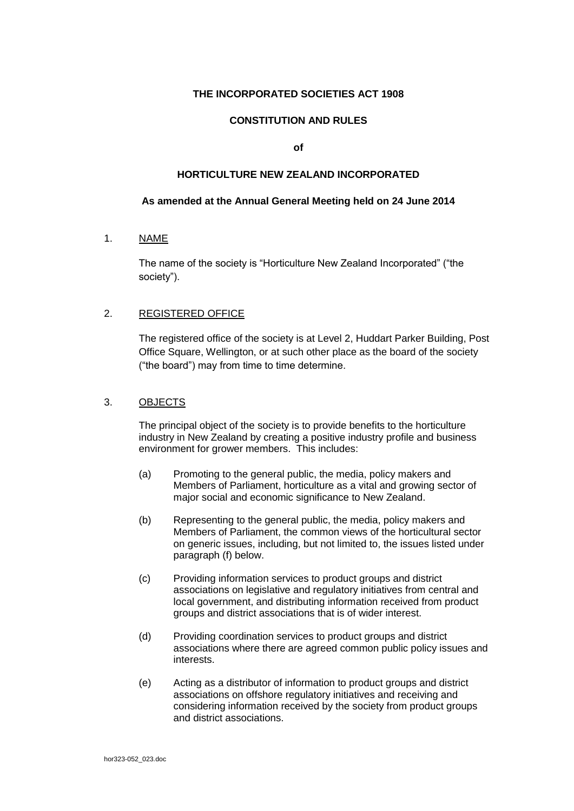# **THE INCORPORATED SOCIETIES ACT 1908**

# **CONSTITUTION AND RULES**

**of**

## **HORTICULTURE NEW ZEALAND INCORPORATED**

### **As amended at the Annual General Meeting held on 24 June 2014**

1. NAME

The name of the society is "Horticulture New Zealand Incorporated" ("the society").

## 2. REGISTERED OFFICE

The registered office of the society is at Level 2, Huddart Parker Building, Post Office Square, Wellington, or at such other place as the board of the society ("the board") may from time to time determine.

### 3. OBJECTS

The principal object of the society is to provide benefits to the horticulture industry in New Zealand by creating a positive industry profile and business environment for grower members. This includes:

- (a) Promoting to the general public, the media, policy makers and Members of Parliament, horticulture as a vital and growing sector of major social and economic significance to New Zealand.
- (b) Representing to the general public, the media, policy makers and Members of Parliament, the common views of the horticultural sector on generic issues, including, but not limited to, the issues listed under paragraph (f) below.
- (c) Providing information services to product groups and district associations on legislative and regulatory initiatives from central and local government, and distributing information received from product groups and district associations that is of wider interest.
- (d) Providing coordination services to product groups and district associations where there are agreed common public policy issues and interests.
- (e) Acting as a distributor of information to product groups and district associations on offshore regulatory initiatives and receiving and considering information received by the society from product groups and district associations.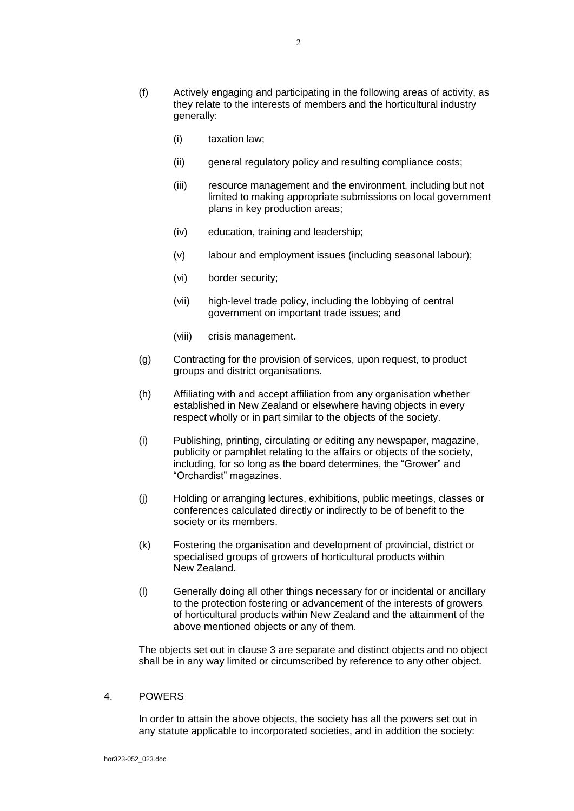- (f) Actively engaging and participating in the following areas of activity, as they relate to the interests of members and the horticultural industry generally:
	- (i) taxation law;
	- (ii) general regulatory policy and resulting compliance costs;
	- (iii) resource management and the environment, including but not limited to making appropriate submissions on local government plans in key production areas;
	- (iv) education, training and leadership;
	- (v) labour and employment issues (including seasonal labour);
	- (vi) border security;
	- (vii) high-level trade policy, including the lobbying of central government on important trade issues; and
	- (viii) crisis management.
- (g) Contracting for the provision of services, upon request, to product groups and district organisations.
- (h) Affiliating with and accept affiliation from any organisation whether established in New Zealand or elsewhere having objects in every respect wholly or in part similar to the objects of the society.
- (i) Publishing, printing, circulating or editing any newspaper, magazine, publicity or pamphlet relating to the affairs or objects of the society, including, for so long as the board determines, the "Grower" and "Orchardist" magazines.
- (j) Holding or arranging lectures, exhibitions, public meetings, classes or conferences calculated directly or indirectly to be of benefit to the society or its members.
- (k) Fostering the organisation and development of provincial, district or specialised groups of growers of horticultural products within New Zealand.
- (l) Generally doing all other things necessary for or incidental or ancillary to the protection fostering or advancement of the interests of growers of horticultural products within New Zealand and the attainment of the above mentioned objects or any of them.

The objects set out in clause 3 are separate and distinct objects and no object shall be in any way limited or circumscribed by reference to any other object.

### 4. POWERS

In order to attain the above objects, the society has all the powers set out in any statute applicable to incorporated societies, and in addition the society: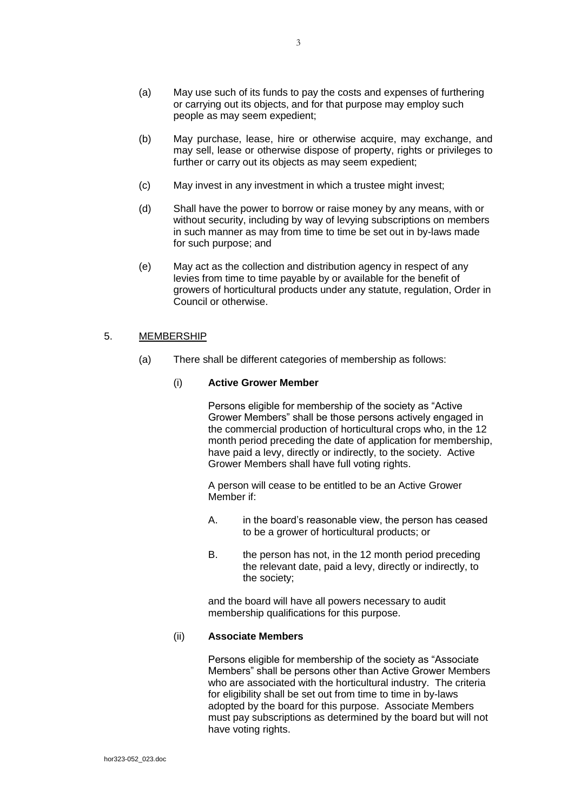- (a) May use such of its funds to pay the costs and expenses of furthering or carrying out its objects, and for that purpose may employ such people as may seem expedient;
- (b) May purchase, lease, hire or otherwise acquire, may exchange, and may sell, lease or otherwise dispose of property, rights or privileges to further or carry out its objects as may seem expedient:
- (c) May invest in any investment in which a trustee might invest;
- (d) Shall have the power to borrow or raise money by any means, with or without security, including by way of levying subscriptions on members in such manner as may from time to time be set out in by-laws made for such purpose; and
- (e) May act as the collection and distribution agency in respect of any levies from time to time payable by or available for the benefit of growers of horticultural products under any statute, regulation, Order in Council or otherwise.

# 5. MEMBERSHIP

(a) There shall be different categories of membership as follows:

### (i) **Active Grower Member**

Persons eligible for membership of the society as "Active Grower Members" shall be those persons actively engaged in the commercial production of horticultural crops who, in the 12 month period preceding the date of application for membership, have paid a levy, directly or indirectly, to the society. Active Grower Members shall have full voting rights.

A person will cease to be entitled to be an Active Grower Member if:

- A. in the board's reasonable view, the person has ceased to be a grower of horticultural products; or
- B. the person has not, in the 12 month period preceding the relevant date, paid a levy, directly or indirectly, to the society;

and the board will have all powers necessary to audit membership qualifications for this purpose.

### (ii) **Associate Members**

Persons eligible for membership of the society as "Associate Members" shall be persons other than Active Grower Members who are associated with the horticultural industry. The criteria for eligibility shall be set out from time to time in by-laws adopted by the board for this purpose. Associate Members must pay subscriptions as determined by the board but will not have voting rights.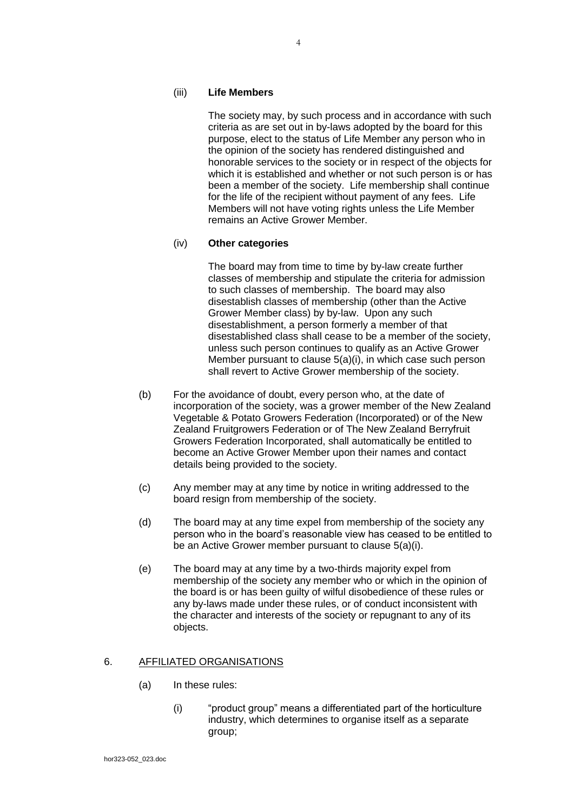## (iii) **Life Members**

The society may, by such process and in accordance with such criteria as are set out in by-laws adopted by the board for this purpose, elect to the status of Life Member any person who in the opinion of the society has rendered distinguished and honorable services to the society or in respect of the objects for which it is established and whether or not such person is or has been a member of the society. Life membership shall continue for the life of the recipient without payment of any fees. Life Members will not have voting rights unless the Life Member remains an Active Grower Member.

### (iv) **Other categories**

The board may from time to time by by-law create further classes of membership and stipulate the criteria for admission to such classes of membership. The board may also disestablish classes of membership (other than the Active Grower Member class) by by-law. Upon any such disestablishment, a person formerly a member of that disestablished class shall cease to be a member of the society, unless such person continues to qualify as an Active Grower Member pursuant to clause 5(a)(i), in which case such person shall revert to Active Grower membership of the society.

- (b) For the avoidance of doubt, every person who, at the date of incorporation of the society, was a grower member of the New Zealand Vegetable & Potato Growers Federation (Incorporated) or of the New Zealand Fruitgrowers Federation or of The New Zealand Berryfruit Growers Federation Incorporated, shall automatically be entitled to become an Active Grower Member upon their names and contact details being provided to the society.
- (c) Any member may at any time by notice in writing addressed to the board resign from membership of the society.
- (d) The board may at any time expel from membership of the society any person who in the board's reasonable view has ceased to be entitled to be an Active Grower member pursuant to clause 5(a)(i).
- (e) The board may at any time by a two-thirds majority expel from membership of the society any member who or which in the opinion of the board is or has been guilty of wilful disobedience of these rules or any by-laws made under these rules, or of conduct inconsistent with the character and interests of the society or repugnant to any of its objects.

### 6. AFFILIATED ORGANISATIONS

- (a) In these rules:
	- (i) "product group" means a differentiated part of the horticulture industry, which determines to organise itself as a separate group;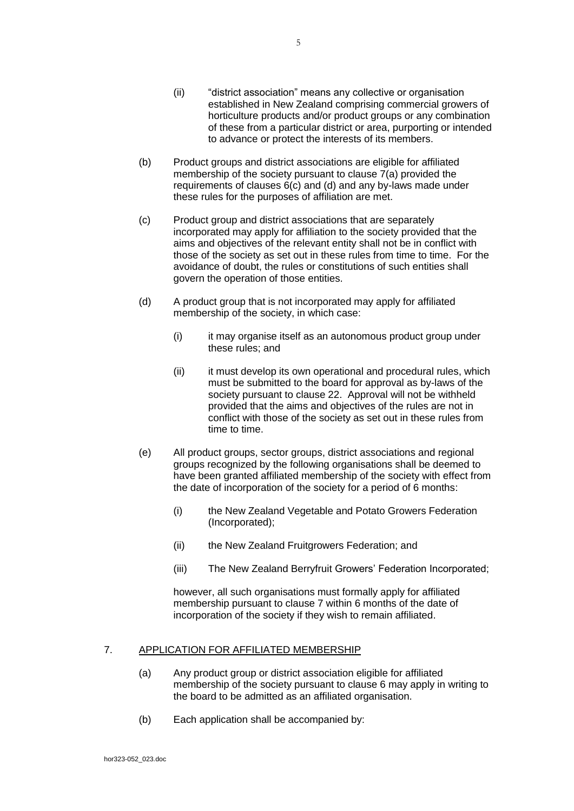- (ii) "district association" means any collective or organisation established in New Zealand comprising commercial growers of horticulture products and/or product groups or any combination of these from a particular district or area, purporting or intended to advance or protect the interests of its members.
- (b) Product groups and district associations are eligible for affiliated membership of the society pursuant to clause 7(a) provided the requirements of clauses 6(c) and (d) and any by-laws made under these rules for the purposes of affiliation are met.
- (c) Product group and district associations that are separately incorporated may apply for affiliation to the society provided that the aims and objectives of the relevant entity shall not be in conflict with those of the society as set out in these rules from time to time. For the avoidance of doubt, the rules or constitutions of such entities shall govern the operation of those entities.
- (d) A product group that is not incorporated may apply for affiliated membership of the society, in which case:
	- (i) it may organise itself as an autonomous product group under these rules; and
	- (ii) it must develop its own operational and procedural rules, which must be submitted to the board for approval as by-laws of the society pursuant to clause 22. Approval will not be withheld provided that the aims and objectives of the rules are not in conflict with those of the society as set out in these rules from time to time.
- (e) All product groups, sector groups, district associations and regional groups recognized by the following organisations shall be deemed to have been granted affiliated membership of the society with effect from the date of incorporation of the society for a period of 6 months:
	- (i) the New Zealand Vegetable and Potato Growers Federation (Incorporated);
	- (ii) the New Zealand Fruitgrowers Federation; and
	- (iii) The New Zealand Berryfruit Growers' Federation Incorporated;

however, all such organisations must formally apply for affiliated membership pursuant to clause 7 within 6 months of the date of incorporation of the society if they wish to remain affiliated.

## 7. APPLICATION FOR AFFILIATED MEMBERSHIP

- (a) Any product group or district association eligible for affiliated membership of the society pursuant to clause 6 may apply in writing to the board to be admitted as an affiliated organisation.
- (b) Each application shall be accompanied by: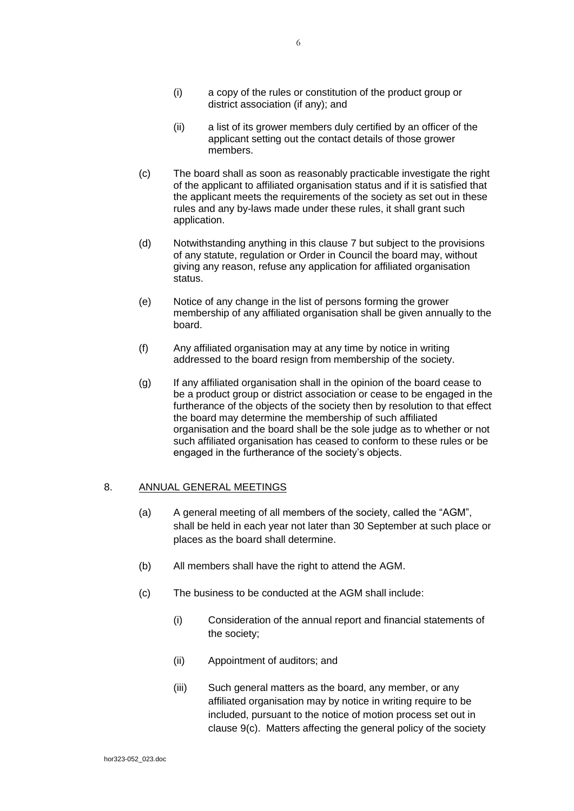- (i) a copy of the rules or constitution of the product group or district association (if any); and
- (ii) a list of its grower members duly certified by an officer of the applicant setting out the contact details of those grower members.
- (c) The board shall as soon as reasonably practicable investigate the right of the applicant to affiliated organisation status and if it is satisfied that the applicant meets the requirements of the society as set out in these rules and any by-laws made under these rules, it shall grant such application.
- (d) Notwithstanding anything in this clause 7 but subject to the provisions of any statute, regulation or Order in Council the board may, without giving any reason, refuse any application for affiliated organisation status.
- (e) Notice of any change in the list of persons forming the grower membership of any affiliated organisation shall be given annually to the board.
- (f) Any affiliated organisation may at any time by notice in writing addressed to the board resign from membership of the society.
- (g) If any affiliated organisation shall in the opinion of the board cease to be a product group or district association or cease to be engaged in the furtherance of the objects of the society then by resolution to that effect the board may determine the membership of such affiliated organisation and the board shall be the sole judge as to whether or not such affiliated organisation has ceased to conform to these rules or be engaged in the furtherance of the society's objects.

# 8. ANNUAL GENERAL MEETINGS

- (a) A general meeting of all members of the society, called the "AGM", shall be held in each year not later than 30 September at such place or places as the board shall determine.
- (b) All members shall have the right to attend the AGM.
- (c) The business to be conducted at the AGM shall include:
	- (i) Consideration of the annual report and financial statements of the society;
	- (ii) Appointment of auditors; and
	- (iii) Such general matters as the board, any member, or any affiliated organisation may by notice in writing require to be included, pursuant to the notice of motion process set out in clause 9(c). Matters affecting the general policy of the society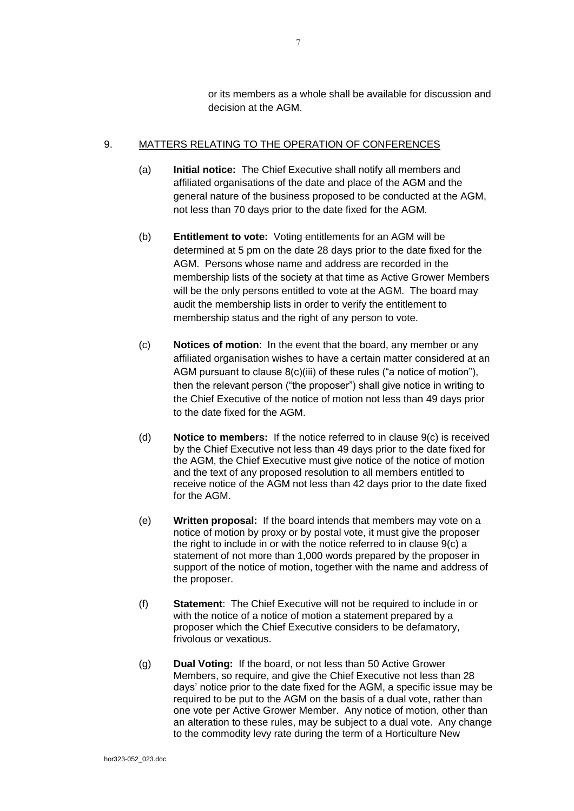or its members as a whole shall be available for discussion and decision at the AGM.

# <span id="page-6-0"></span>9. MATTERS RELATING TO THE OPERATION OF CONFERENCES

- (a) **Initial notice:** The Chief Executive shall notify all members and affiliated organisations of the date and place of the AGM and the general nature of the business proposed to be conducted at the AGM, not less than 70 days prior to the date fixed for the AGM.
- <span id="page-6-2"></span>(b) **Entitlement to vote:** Voting entitlements for an AGM will be determined at 5 pm on the date 28 days prior to the date fixed for the AGM. Persons whose name and address are recorded in the membership lists of the society at that time as Active Grower Members will be the only persons entitled to vote at the AGM. The board may audit the membership lists in order to verify the entitlement to membership status and the right of any person to vote.
- (c) **Notices of motion**: In the event that the board, any member or any affiliated organisation wishes to have a certain matter considered at an AGM pursuant to clause 8(c)(iii) of these rules ("a notice of motion"), then the relevant person ("the proposer") shall give notice in writing to the Chief Executive of the notice of motion not less than 49 days prior to the date fixed for the AGM.
- (d) **Notice to members:** If the notice referred to in clause 9(c) is received by the Chief Executive not less than 49 days prior to the date fixed for the AGM, the Chief Executive must give notice of the notice of motion and the text of any proposed resolution to all members entitled to receive notice of the AGM not less than 42 days prior to the date fixed for the AGM.
- (e) **Written proposal:** If the board intends that members may vote on a notice of motion by proxy or by postal vote, it must give the proposer the right to include in or with the notice referred to in clause 9(c) a statement of not more than 1,000 words prepared by the proposer in support of the notice of motion, together with the name and address of the proposer.
- (f) **Statement**: The Chief Executive will not be required to include in or with the notice of a notice of motion a statement prepared by a proposer which the Chief Executive considers to be defamatory, frivolous or vexatious.
- <span id="page-6-1"></span>(g) **Dual Voting:** If the board, or not less than 50 Active Grower Members, so require, and give the Chief Executive not less than 28 days' notice prior to the date fixed for the AGM, a specific issue may be required to be put to the AGM on the basis of a dual vote, rather than one vote per Active Grower Member. Any notice of motion, other than an alteration to these rules, may be subject to a dual vote. Any change to the commodity levy rate during the term of a Horticulture New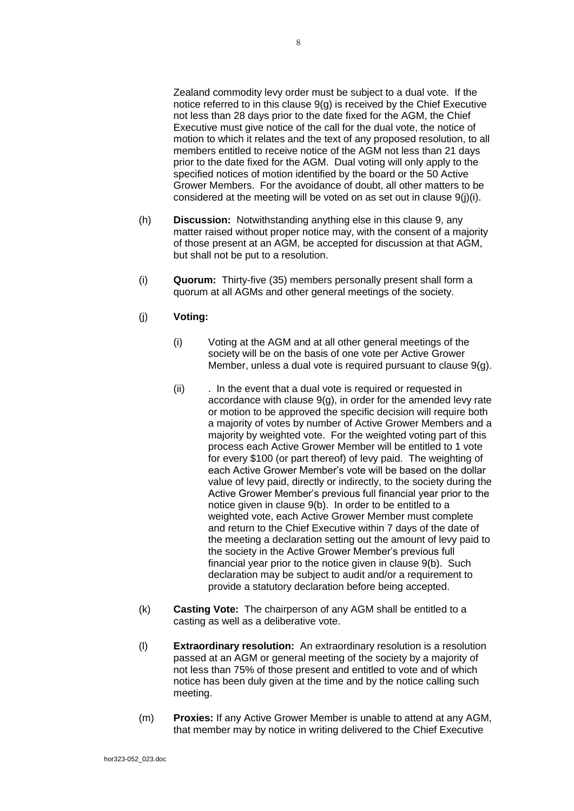Zealand commodity levy order must be subject to a dual vote. If the notice referred to in this clause 9(g) is received by the Chief Executive not less than 28 days prior to the date fixed for the AGM, the Chief Executive must give notice of the call for the dual vote, the notice of motion to which it relates and the text of any proposed resolution, to all members entitled to receive notice of the AGM not less than 21 days prior to the date fixed for the AGM. Dual voting will only apply to the specified notices of motion identified by the board or the 50 Active Grower Members. For the avoidance of doubt, all other matters to be considered at the meeting will be voted on as set out in clause 9(j)(i).

- (h) **Discussion:** Notwithstanding anything else in this clause 9, any matter raised without proper notice may, with the consent of a majority of those present at an AGM, be accepted for discussion at that AGM, but shall not be put to a resolution.
- (i) **Quorum:** Thirty-five (35) members personally present shall form a quorum at all AGMs and other general meetings of the society.
- (j) **Voting:**
	- (i) Voting at the AGM and at all other general meetings of the society will be on the basis of one vote per Active Grower Member, unless a dual vote is required pursuant to clause 9(g).
	- (ii) . In the event that a dual vote is required or requested in accordance with clause [9](#page-6-0)[\(g\),](#page-6-1) in order for the amended levy rate or motion to be approved the specific decision will require both a majority of votes by number of Active Grower Members and a majority by weighted vote. For the weighted voting part of this process each Active Grower Member will be entitled to 1 vote for every \$100 (or part thereof) of levy paid. The weighting of each Active Grower Member's vote will be based on the dollar value of levy paid, directly or indirectly, to the society during the Active Grower Member's previous full financial year prior to the notice given in clause [9](#page-6-0)[\(b\).](#page-6-2) In order to be entitled to a weighted vote, each Active Grower Member must complete and return to the Chief Executive within 7 days of the date of the meeting a declaration setting out the amount of levy paid to the society in the Active Grower Member's previous full financial year prior to the notice given in clause [9](#page-6-0)[\(b\).](#page-6-2) Such declaration may be subject to audit and/or a requirement to provide a statutory declaration before being accepted.
- (k) **Casting Vote:** The chairperson of any AGM shall be entitled to a casting as well as a deliberative vote.
- (l) **Extraordinary resolution:** An extraordinary resolution is a resolution passed at an AGM or general meeting of the society by a majority of not less than 75% of those present and entitled to vote and of which notice has been duly given at the time and by the notice calling such meeting.
- (m) **Proxies:** If any Active Grower Member is unable to attend at any AGM, that member may by notice in writing delivered to the Chief Executive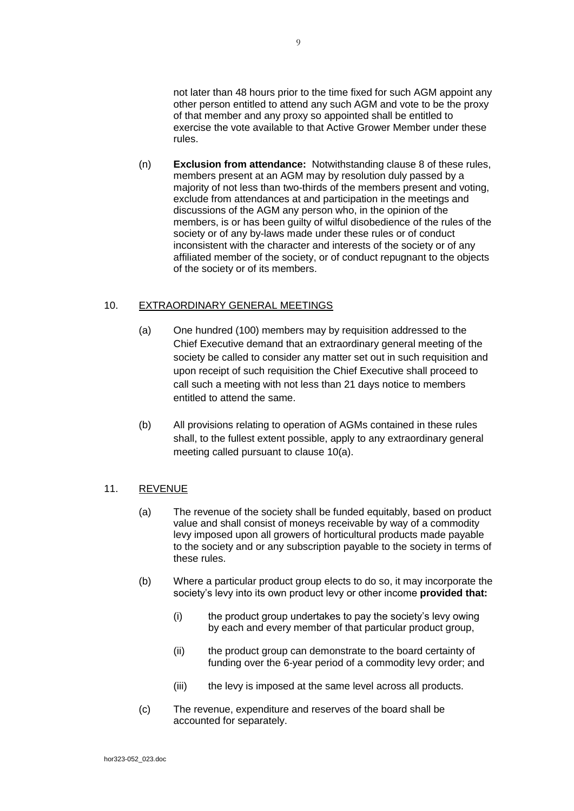not later than 48 hours prior to the time fixed for such AGM appoint any other person entitled to attend any such AGM and vote to be the proxy of that member and any proxy so appointed shall be entitled to exercise the vote available to that Active Grower Member under these rules.

(n) **Exclusion from attendance:** Notwithstanding clause 8 of these rules, members present at an AGM may by resolution duly passed by a majority of not less than two-thirds of the members present and voting, exclude from attendances at and participation in the meetings and discussions of the AGM any person who, in the opinion of the members, is or has been guilty of wilful disobedience of the rules of the society or of any by-laws made under these rules or of conduct inconsistent with the character and interests of the society or of any affiliated member of the society, or of conduct repugnant to the objects of the society or of its members.

## 10. EXTRAORDINARY GENERAL MEETINGS

- (a) One hundred (100) members may by requisition addressed to the Chief Executive demand that an extraordinary general meeting of the society be called to consider any matter set out in such requisition and upon receipt of such requisition the Chief Executive shall proceed to call such a meeting with not less than 21 days notice to members entitled to attend the same.
- (b) All provisions relating to operation of AGMs contained in these rules shall, to the fullest extent possible, apply to any extraordinary general meeting called pursuant to clause 10(a).

# 11. REVENUE

- (a) The revenue of the society shall be funded equitably, based on product value and shall consist of moneys receivable by way of a commodity levy imposed upon all growers of horticultural products made payable to the society and or any subscription payable to the society in terms of these rules.
- (b) Where a particular product group elects to do so, it may incorporate the society's levy into its own product levy or other income **provided that:**
	- (i) the product group undertakes to pay the society's levy owing by each and every member of that particular product group.
	- (ii) the product group can demonstrate to the board certainty of funding over the 6-year period of a commodity levy order; and
	- (iii) the levy is imposed at the same level across all products.
- (c) The revenue, expenditure and reserves of the board shall be accounted for separately.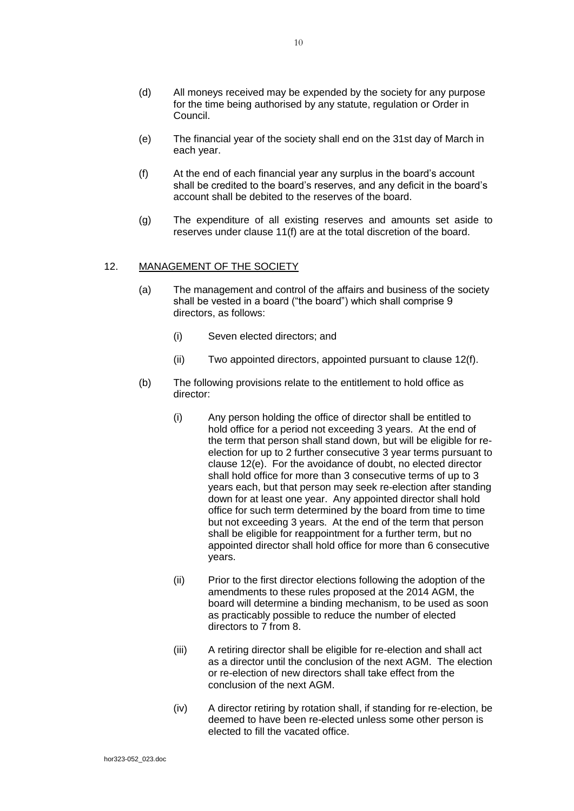- (d) All moneys received may be expended by the society for any purpose for the time being authorised by any statute, regulation or Order in Council.
- (e) The financial year of the society shall end on the 31st day of March in each year.
- (f) At the end of each financial year any surplus in the board's account shall be credited to the board's reserves, and any deficit in the board's account shall be debited to the reserves of the board.
- (g) The expenditure of all existing reserves and amounts set aside to reserves under clause 11(f) are at the total discretion of the board.

## 12. MANAGEMENT OF THE SOCIETY

- (a) The management and control of the affairs and business of the society shall be vested in a board ("the board") which shall comprise 9 directors, as follows:
	- (i) Seven elected directors; and
	- (ii) Two appointed directors, appointed pursuant to claus[e 12\(f\).](#page-10-0)
- (b) The following provisions relate to the entitlement to hold office as director:
	- (i) Any person holding the office of director shall be entitled to hold office for a period not exceeding 3 years. At the end of the term that person shall stand down, but will be eligible for reelection for up to 2 further consecutive 3 year terms pursuant to clause 12(e). For the avoidance of doubt, no elected director shall hold office for more than 3 consecutive terms of up to 3 years each, but that person may seek re-election after standing down for at least one year. Any appointed director shall hold office for such term determined by the board from time to time but not exceeding 3 years. At the end of the term that person shall be eligible for reappointment for a further term, but no appointed director shall hold office for more than 6 consecutive years.
	- (ii) Prior to the first director elections following the adoption of the amendments to these rules proposed at the 2014 AGM, the board will determine a binding mechanism, to be used as soon as practicably possible to reduce the number of elected directors to 7 from 8.
	- (iii) A retiring director shall be eligible for re-election and shall act as a director until the conclusion of the next AGM. The election or re-election of new directors shall take effect from the conclusion of the next AGM.
	- (iv) A director retiring by rotation shall, if standing for re-election, be deemed to have been re-elected unless some other person is elected to fill the vacated office.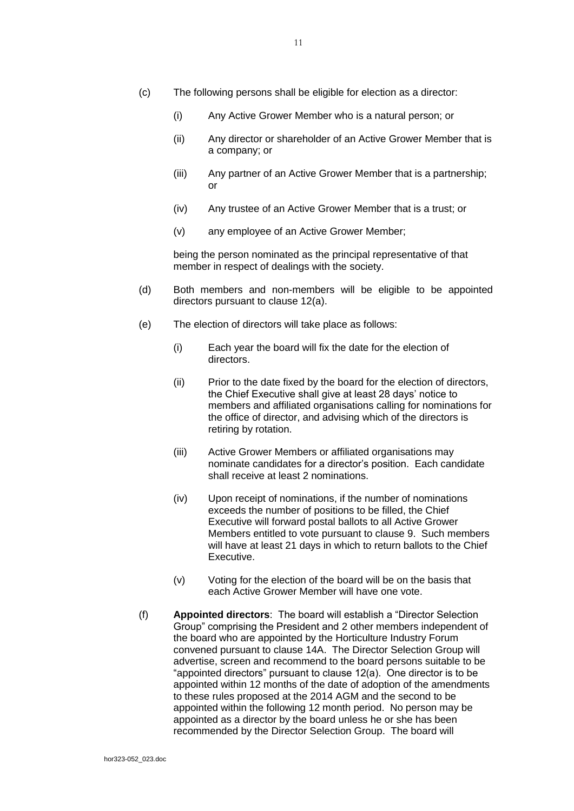- (c) The following persons shall be eligible for election as a director:
	- (i) Any Active Grower Member who is a natural person; or
	- (ii) Any director or shareholder of an Active Grower Member that is a company; or
	- (iii) Any partner of an Active Grower Member that is a partnership; or
	- (iv) Any trustee of an Active Grower Member that is a trust; or
	- (v) any employee of an Active Grower Member;

being the person nominated as the principal representative of that member in respect of dealings with the society.

- (d) Both members and non-members will be eligible to be appointed directors pursuant to clause 12(a).
- (e) The election of directors will take place as follows:
	- (i) Each year the board will fix the date for the election of directors.
	- (ii) Prior to the date fixed by the board for the election of directors, the Chief Executive shall give at least 28 days' notice to members and affiliated organisations calling for nominations for the office of director, and advising which of the directors is retiring by rotation.
	- (iii) Active Grower Members or affiliated organisations may nominate candidates for a director's position. Each candidate shall receive at least 2 nominations.
	- (iv) Upon receipt of nominations, if the number of nominations exceeds the number of positions to be filled, the Chief Executive will forward postal ballots to all Active Grower Members entitled to vote pursuant to clause 9. Such members will have at least 21 days in which to return ballots to the Chief Executive.
	- (v) Voting for the election of the board will be on the basis that each Active Grower Member will have one vote.
- <span id="page-10-0"></span>(f) **Appointed directors**: The board will establish a "Director Selection Group" comprising the President and 2 other members independent of the board who are appointed by the Horticulture Industry Forum convened pursuant to clause 14A. The Director Selection Group will advertise, screen and recommend to the board persons suitable to be "appointed directors" pursuant to clause 12(a). One director is to be appointed within 12 months of the date of adoption of the amendments to these rules proposed at the 2014 AGM and the second to be appointed within the following 12 month period. No person may be appointed as a director by the board unless he or she has been recommended by the Director Selection Group. The board will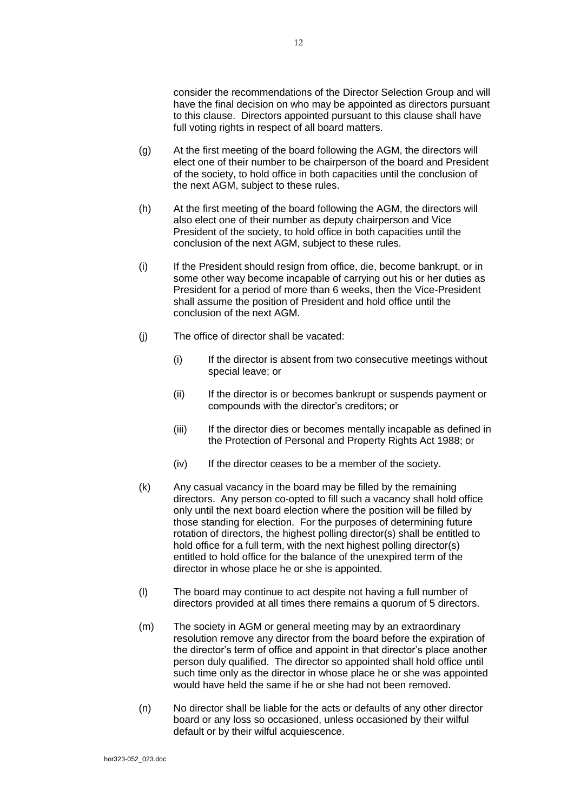consider the recommendations of the Director Selection Group and will have the final decision on who may be appointed as directors pursuant to this clause. Directors appointed pursuant to this clause shall have full voting rights in respect of all board matters.

- (g) At the first meeting of the board following the AGM, the directors will elect one of their number to be chairperson of the board and President of the society, to hold office in both capacities until the conclusion of the next AGM, subject to these rules.
- (h) At the first meeting of the board following the AGM, the directors will also elect one of their number as deputy chairperson and Vice President of the society, to hold office in both capacities until the conclusion of the next AGM, subject to these rules.
- (i) If the President should resign from office, die, become bankrupt, or in some other way become incapable of carrying out his or her duties as President for a period of more than 6 weeks, then the Vice-President shall assume the position of President and hold office until the conclusion of the next AGM.
- (j) The office of director shall be vacated:
	- (i) If the director is absent from two consecutive meetings without special leave; or
	- (ii) If the director is or becomes bankrupt or suspends payment or compounds with the director's creditors; or
	- (iii) If the director dies or becomes mentally incapable as defined in the Protection of Personal and Property Rights Act 1988; or
	- (iv) If the director ceases to be a member of the society.
- (k) Any casual vacancy in the board may be filled by the remaining directors. Any person co-opted to fill such a vacancy shall hold office only until the next board election where the position will be filled by those standing for election. For the purposes of determining future rotation of directors, the highest polling director(s) shall be entitled to hold office for a full term, with the next highest polling director(s) entitled to hold office for the balance of the unexpired term of the director in whose place he or she is appointed.
- (l) The board may continue to act despite not having a full number of directors provided at all times there remains a quorum of 5 directors.
- (m) The society in AGM or general meeting may by an extraordinary resolution remove any director from the board before the expiration of the director's term of office and appoint in that director's place another person duly qualified. The director so appointed shall hold office until such time only as the director in whose place he or she was appointed would have held the same if he or she had not been removed.
- (n) No director shall be liable for the acts or defaults of any other director board or any loss so occasioned, unless occasioned by their wilful default or by their wilful acquiescence.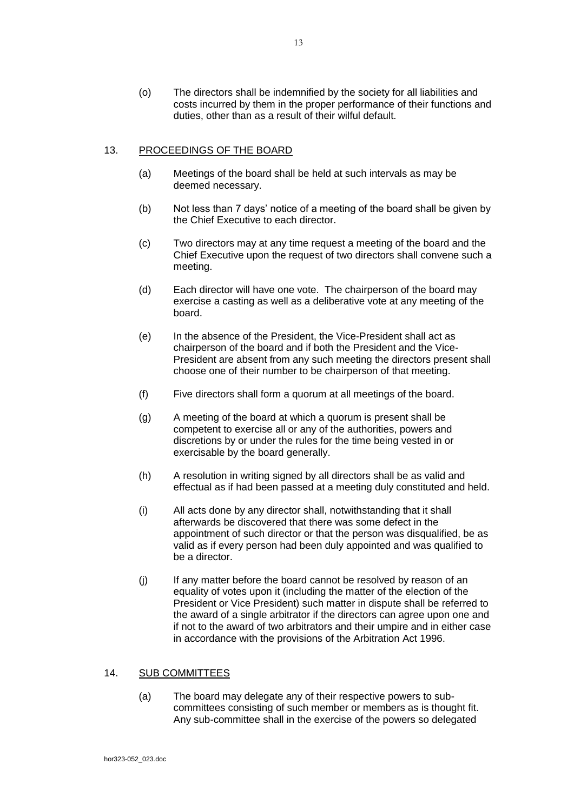(o) The directors shall be indemnified by the society for all liabilities and costs incurred by them in the proper performance of their functions and duties, other than as a result of their wilful default.

# 13. PROCEEDINGS OF THE BOARD

- (a) Meetings of the board shall be held at such intervals as may be deemed necessary.
- (b) Not less than 7 days' notice of a meeting of the board shall be given by the Chief Executive to each director.
- (c) Two directors may at any time request a meeting of the board and the Chief Executive upon the request of two directors shall convene such a meeting.
- (d) Each director will have one vote. The chairperson of the board may exercise a casting as well as a deliberative vote at any meeting of the board.
- (e) In the absence of the President, the Vice-President shall act as chairperson of the board and if both the President and the Vice-President are absent from any such meeting the directors present shall choose one of their number to be chairperson of that meeting.
- (f) Five directors shall form a quorum at all meetings of the board.
- (g) A meeting of the board at which a quorum is present shall be competent to exercise all or any of the authorities, powers and discretions by or under the rules for the time being vested in or exercisable by the board generally.
- (h) A resolution in writing signed by all directors shall be as valid and effectual as if had been passed at a meeting duly constituted and held.
- (i) All acts done by any director shall, notwithstanding that it shall afterwards be discovered that there was some defect in the appointment of such director or that the person was disqualified, be as valid as if every person had been duly appointed and was qualified to be a director.
- (j) If any matter before the board cannot be resolved by reason of an equality of votes upon it (including the matter of the election of the President or Vice President) such matter in dispute shall be referred to the award of a single arbitrator if the directors can agree upon one and if not to the award of two arbitrators and their umpire and in either case in accordance with the provisions of the Arbitration Act 1996.

## 14. SUB COMMITTEES

(a) The board may delegate any of their respective powers to subcommittees consisting of such member or members as is thought fit. Any sub-committee shall in the exercise of the powers so delegated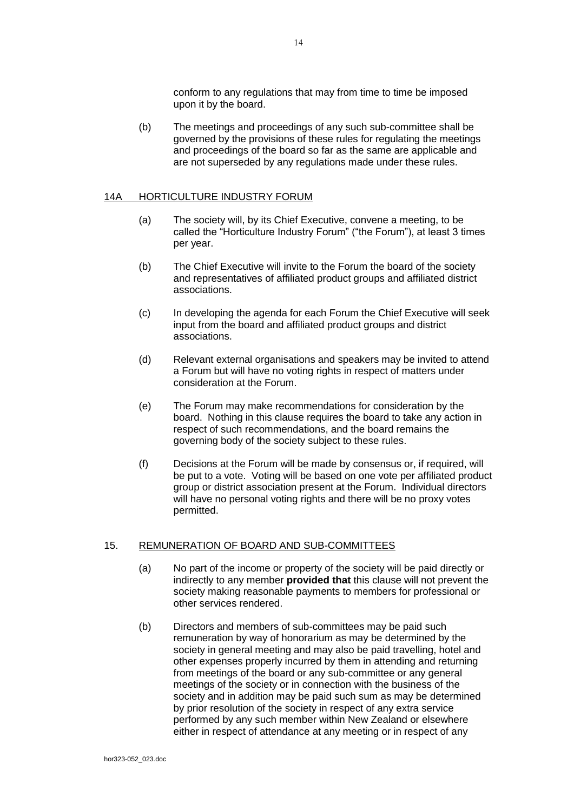conform to any regulations that may from time to time be imposed upon it by the board.

(b) The meetings and proceedings of any such sub-committee shall be governed by the provisions of these rules for regulating the meetings and proceedings of the board so far as the same are applicable and are not superseded by any regulations made under these rules.

### 14A HORTICULTURE INDUSTRY FORUM

- (a) The society will, by its Chief Executive, convene a meeting, to be called the "Horticulture Industry Forum" ("the Forum"), at least 3 times per year.
- (b) The Chief Executive will invite to the Forum the board of the society and representatives of affiliated product groups and affiliated district associations.
- (c) In developing the agenda for each Forum the Chief Executive will seek input from the board and affiliated product groups and district associations.
- (d) Relevant external organisations and speakers may be invited to attend a Forum but will have no voting rights in respect of matters under consideration at the Forum.
- (e) The Forum may make recommendations for consideration by the board. Nothing in this clause requires the board to take any action in respect of such recommendations, and the board remains the governing body of the society subject to these rules.
- (f) Decisions at the Forum will be made by consensus or, if required, will be put to a vote. Voting will be based on one vote per affiliated product group or district association present at the Forum. Individual directors will have no personal voting rights and there will be no proxy votes permitted.

## 15. REMUNERATION OF BOARD AND SUB-COMMITTEES

- (a) No part of the income or property of the society will be paid directly or indirectly to any member **provided that** this clause will not prevent the society making reasonable payments to members for professional or other services rendered.
- (b) Directors and members of sub-committees may be paid such remuneration by way of honorarium as may be determined by the society in general meeting and may also be paid travelling, hotel and other expenses properly incurred by them in attending and returning from meetings of the board or any sub-committee or any general meetings of the society or in connection with the business of the society and in addition may be paid such sum as may be determined by prior resolution of the society in respect of any extra service performed by any such member within New Zealand or elsewhere either in respect of attendance at any meeting or in respect of any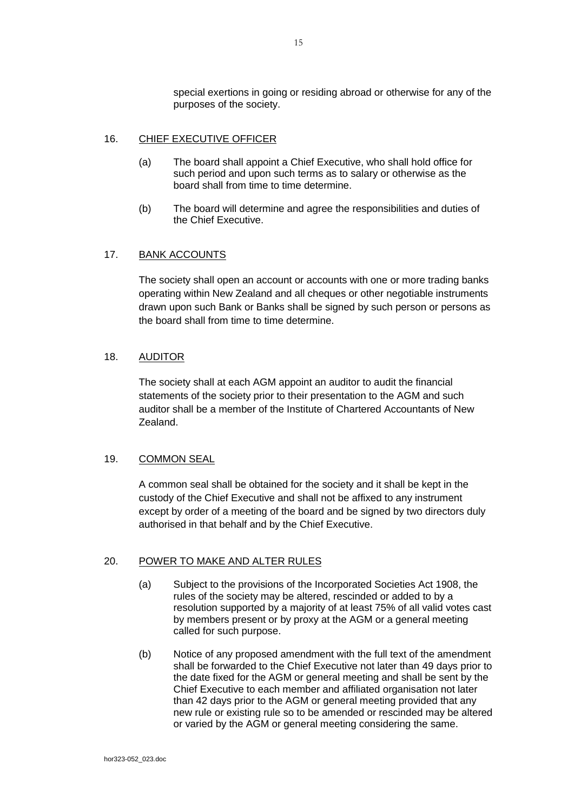special exertions in going or residing abroad or otherwise for any of the purposes of the society.

### 16. CHIEF EXECUTIVE OFFICER

- (a) The board shall appoint a Chief Executive, who shall hold office for such period and upon such terms as to salary or otherwise as the board shall from time to time determine.
- (b) The board will determine and agree the responsibilities and duties of the Chief Executive.

## 17. BANK ACCOUNTS

The society shall open an account or accounts with one or more trading banks operating within New Zealand and all cheques or other negotiable instruments drawn upon such Bank or Banks shall be signed by such person or persons as the board shall from time to time determine.

### 18. AUDITOR

The society shall at each AGM appoint an auditor to audit the financial statements of the society prior to their presentation to the AGM and such auditor shall be a member of the Institute of Chartered Accountants of New Zealand.

### 19. COMMON SEAL

A common seal shall be obtained for the society and it shall be kept in the custody of the Chief Executive and shall not be affixed to any instrument except by order of a meeting of the board and be signed by two directors duly authorised in that behalf and by the Chief Executive.

# 20. POWER TO MAKE AND ALTER RULES

- (a) Subject to the provisions of the Incorporated Societies Act 1908, the rules of the society may be altered, rescinded or added to by a resolution supported by a majority of at least 75% of all valid votes cast by members present or by proxy at the AGM or a general meeting called for such purpose.
- (b) Notice of any proposed amendment with the full text of the amendment shall be forwarded to the Chief Executive not later than 49 days prior to the date fixed for the AGM or general meeting and shall be sent by the Chief Executive to each member and affiliated organisation not later than 42 days prior to the AGM or general meeting provided that any new rule or existing rule so to be amended or rescinded may be altered or varied by the AGM or general meeting considering the same.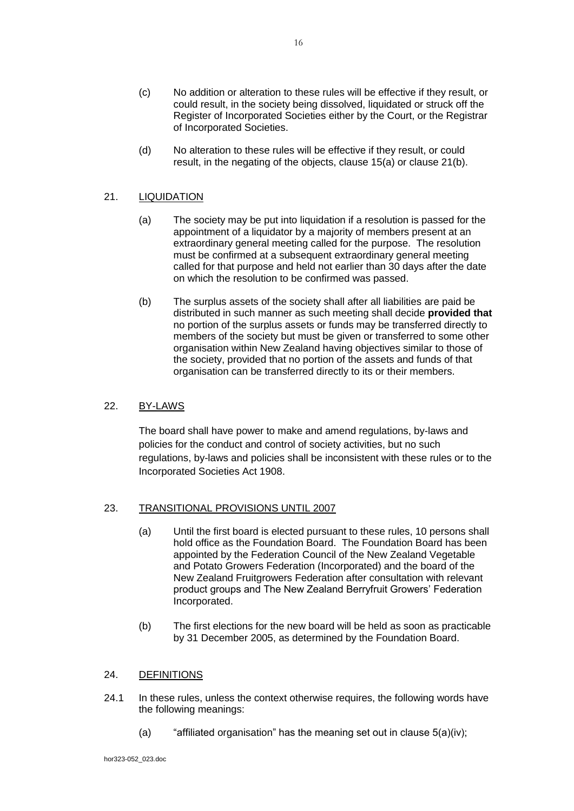- (c) No addition or alteration to these rules will be effective if they result, or could result, in the society being dissolved, liquidated or struck off the Register of Incorporated Societies either by the Court, or the Registrar of Incorporated Societies.
- (d) No alteration to these rules will be effective if they result, or could result, in the negating of the objects, clause 15(a) or clause 21(b).

## 21. LIQUIDATION

- (a) The society may be put into liquidation if a resolution is passed for the appointment of a liquidator by a majority of members present at an extraordinary general meeting called for the purpose. The resolution must be confirmed at a subsequent extraordinary general meeting called for that purpose and held not earlier than 30 days after the date on which the resolution to be confirmed was passed.
- (b) The surplus assets of the society shall after all liabilities are paid be distributed in such manner as such meeting shall decide **provided that** no portion of the surplus assets or funds may be transferred directly to members of the society but must be given or transferred to some other organisation within New Zealand having objectives similar to those of the society, provided that no portion of the assets and funds of that organisation can be transferred directly to its or their members.

## 22. BY-LAWS

The board shall have power to make and amend regulations, by-laws and policies for the conduct and control of society activities, but no such regulations, by-laws and policies shall be inconsistent with these rules or to the Incorporated Societies Act 1908.

### 23. TRANSITIONAL PROVISIONS UNTIL 2007

- (a) Until the first board is elected pursuant to these rules, 10 persons shall hold office as the Foundation Board. The Foundation Board has been appointed by the Federation Council of the New Zealand Vegetable and Potato Growers Federation (Incorporated) and the board of the New Zealand Fruitgrowers Federation after consultation with relevant product groups and The New Zealand Berryfruit Growers' Federation Incorporated.
- (b) The first elections for the new board will be held as soon as practicable by 31 December 2005, as determined by the Foundation Board.

### 24. DEFINITIONS

- 24.1 In these rules, unless the context otherwise requires, the following words have the following meanings:
	- (a) "affiliated organisation" has the meaning set out in clause  $5(a)(iv)$ ;